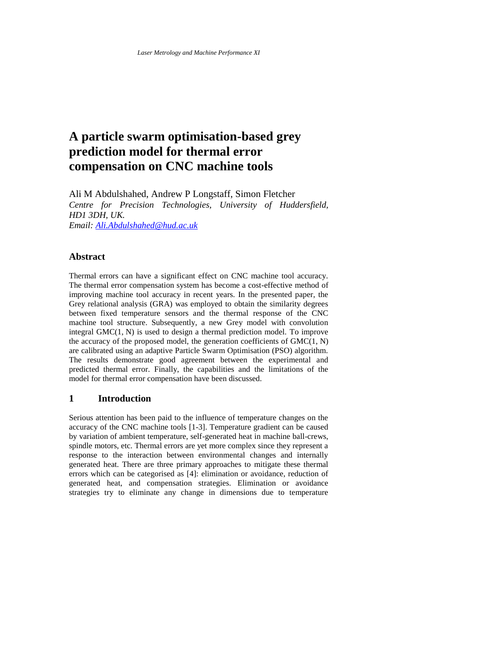# **A particle swarm optimisation-based grey prediction model for thermal error compensation on CNC machine tools**

Ali M Abdulshahed, Andrew P Longstaff, Simon Fletcher *Centre for Precision Technologies, University of Huddersfield, HD1 3DH, UK. Email[: Ali.Abdulshahed@hud.ac.uk](mailto:Ali.Abdulshahed@hud.ac.uk)*

# **Abstract**

Thermal errors can have a significant effect on CNC machine tool accuracy. The thermal error compensation system has become a cost-effective method of improving machine tool accuracy in recent years. In the presented paper, the Grey relational analysis (GRA) was employed to obtain the similarity degrees between fixed temperature sensors and the thermal response of the CNC machine tool structure. Subsequently, a new Grey model with convolution integral GMC(1, N) is used to design a thermal prediction model. To improve the accuracy of the proposed model, the generation coefficients of  $GMC(1, N)$ are calibrated using an adaptive Particle Swarm Optimisation (PSO) algorithm. The results demonstrate good agreement between the experimental and predicted thermal error. Finally, the capabilities and the limitations of the model for thermal error compensation have been discussed.

## **1 Introduction**

Serious attention has been paid to the influence of temperature changes on the accuracy of the CNC machine tools [1-3]. Temperature gradient can be caused by variation of ambient temperature, self-generated heat in machine ball-crews, spindle motors, etc. Thermal errors are yet more complex since they represent a response to the interaction between environmental changes and internally generated heat. There are three primary approaches to mitigate these thermal errors which can be categorised as [4]: elimination or avoidance, reduction of generated heat, and compensation strategies. Elimination or avoidance strategies try to eliminate any change in dimensions due to temperature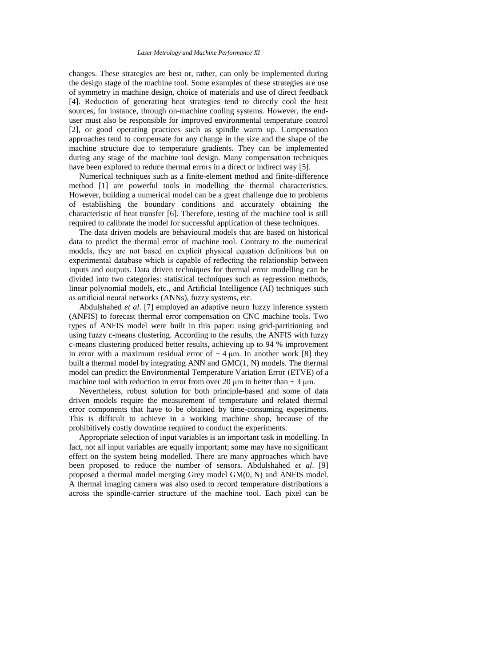#### *Laser Metrology and Machine Performance XI*

changes. These strategies are best or, rather, can only be implemented during the design stage of the machine tool. Some examples of these strategies are use of symmetry in machine design, choice of materials and use of direct feedback [4]. Reduction of generating heat strategies tend to directly cool the heat sources, for instance, through on-machine cooling systems. However, the enduser must also be responsible for improved environmental temperature control [2], or good operating practices such as spindle warm up. Compensation approaches tend to compensate for any change in the size and the shape of the machine structure due to temperature gradients. They can be implemented during any stage of the machine tool design. Many compensation techniques have been explored to reduce thermal errors in a direct or indirect way [5].

 Numerical techniques such as a finite-element method and finite-difference method [1] are powerful tools in modelling the thermal characteristics. However, building a numerical model can be a great challenge due to problems of establishing the boundary conditions and accurately obtaining the characteristic of heat transfer [6]. Therefore, testing of the machine tool is still required to calibrate the model for successful application of these techniques.

 The data driven models are behavioural models that are based on historical data to predict the thermal error of machine tool. Contrary to the numerical models, they are not based on explicit physical equation definitions but on experimental database which is capable of reflecting the relationship between inputs and outputs. Data driven techniques for thermal error modelling can be divided into two categories: statistical techniques such as regression methods, linear polynomial models, etc., and Artificial Intelligence (AI) techniques such as artificial neural networks (ANNs), fuzzy systems, etc.

 Abdulshahed *et al*. [7] employed an adaptive neuro fuzzy inference system (ANFIS) to forecast thermal error compensation on CNC machine tools. Two types of ANFIS model were built in this paper: using grid-partitioning and using fuzzy c-means clustering. According to the results, the ANFIS with fuzzy c-means clustering produced better results, achieving up to 94 % improvement in error with a maximum residual error of  $\pm 4$  µm. In another work [8] they built a thermal model by integrating ANN and GMC(1, N) models. The thermal model can predict the Environmental Temperature Variation Error (ETVE) of a machine tool with reduction in error from over 20  $\mu$ m to better than  $\pm$  3  $\mu$ m.

 Nevertheless, robust solution for both principle-based and some of data driven models require the measurement of temperature and related thermal error components that have to be obtained by time-consuming experiments. This is difficult to achieve in a working machine shop, because of the prohibitively costly downtime required to conduct the experiments.

 Appropriate selection of input variables is an important task in modelling. In fact, not all input variables are equally important; some may have no significant effect on the system being modelled. There are many approaches which have been proposed to reduce the number of sensors. Abdulshahed *et al*. [9] proposed a thermal model merging Grey model GM(0, N) and ANFIS model. A thermal imaging camera was also used to record temperature distributions a across the spindle-carrier structure of the machine tool. Each pixel can be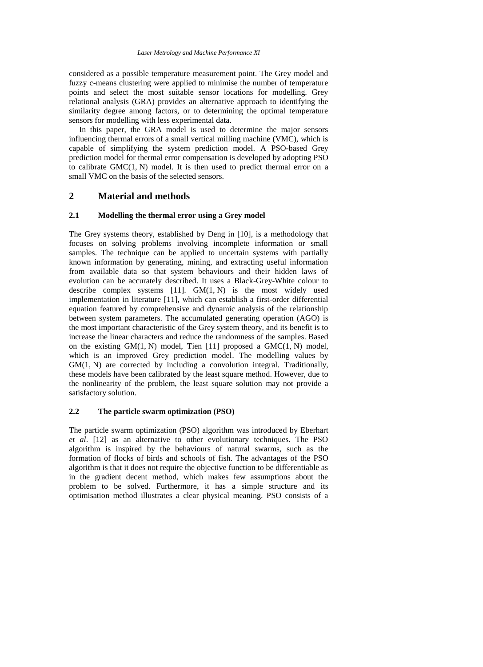considered as a possible temperature measurement point. The Grey model and fuzzy c-means clustering were applied to minimise the number of temperature points and select the most suitable sensor locations for modelling. Grey relational analysis (GRA) provides an alternative approach to identifying the similarity degree among factors, or to determining the optimal temperature sensors for modelling with less experimental data.

 In this paper, the GRA model is used to determine the major sensors influencing thermal errors of a small vertical milling machine (VMC), which is capable of simplifying the system prediction model. A PSO-based Grey prediction model for thermal error compensation is developed by adopting PSO to calibrate GMC(1, N) model. It is then used to predict thermal error on a small VMC on the basis of the selected sensors.

## **2 Material and methods**

#### **2.1 Modelling the thermal error using a Grey model**

The Grey systems theory, established by Deng in [10], is a methodology that focuses on solving problems involving incomplete information or small samples. The technique can be applied to uncertain systems with partially known information by generating, mining, and extracting useful information from available data so that system behaviours and their hidden laws of evolution can be accurately described. It uses a Black-Grey-White colour to describe complex systems  $[11]$ .  $GM(1, N)$  is the most widely used implementation in literature [11], which can establish a first-order differential equation featured by comprehensive and dynamic analysis of the relationship between system parameters. The accumulated generating operation (AGO) is the most important characteristic of the Grey system theory, and its benefit is to increase the linear characters and reduce the randomness of the samples. Based on the existing  $GM(1, N)$  model, Tien [11] proposed a  $GMC(1, N)$  model, which is an improved Grey prediction model. The modelling values by GM(1, N) are corrected by including a convolution integral. Traditionally, these models have been calibrated by the least square method. However, due to the nonlinearity of the problem, the least square solution may not provide a satisfactory solution.

### **2.2 The particle swarm optimization (PSO)**

The particle swarm optimization (PSO) algorithm was introduced by Eberhart *et al*. [12] as an alternative to other evolutionary techniques. The PSO algorithm is inspired by the behaviours of natural swarms, such as the formation of flocks of birds and schools of fish. The advantages of the PSO algorithm is that it does not require the objective function to be differentiable as in the gradient decent method, which makes few assumptions about the problem to be solved. Furthermore, it has a simple structure and its optimisation method illustrates a clear physical meaning. PSO consists of a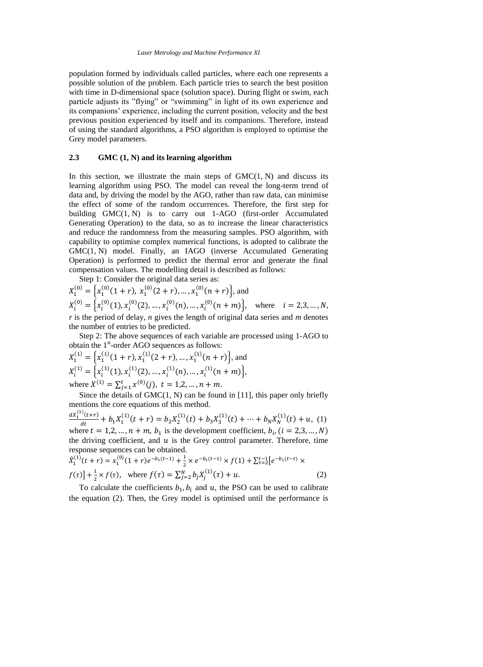population formed by individuals called particles, where each one represents a possible solution of the problem. Each particle tries to search the best position with time in D-dimensional space (solution space). During flight or swim, each particle adjusts its "flying" or "swimming" in light of its own experience and its companions' experience, including the current position, velocity and the best previous position experienced by itself and its companions. Therefore, instead of using the standard algorithms, a PSO algorithm is employed to optimise the Grey model parameters.

#### **2.3 GMC (1, N) and its learning algorithm**

In this section, we illustrate the main steps of  $GMC(1, N)$  and discuss its learning algorithm using PSO. The model can reveal the long-term trend of data and, by driving the model by the AGO, rather than raw data, can minimise the effect of some of the random occurrences. Therefore, the first step for building GMC(1, N) is to carry out 1-AGO (first-order Accumulated Generating Operation) to the data, so as to increase the linear characteristics and reduce the randomness from the measuring samples. PSO algorithm, with capability to optimise complex numerical functions, is adopted to calibrate the GMC(1, N) model. Finally, an IAGO (inverse Accumulated Generating Operation) is performed to predict the thermal error and generate the final compensation values. The modelling detail is described as follows:

Step 1: Consider the original data series as:

 $X_1^{(0)} = \left\{ x_1^{(0)}(1+r), x_1^{(0)}(2+r), ..., x_1^{(0)}(n+r) \right\}$ , and  $X_i^{(0)} = \left\{ x_i^{(0)}(1), x_i^{(0)}(2), \dots, x_i^{(0)}(n), \dots, x_i^{(0)}(n+m) \right\}, \text{ where } i = 2, 3, \dots, N,$ *r* is the period of delay, *n* gives the length of original data series and *m* denotes the number of entries to be predicted.

 Step 2: The above sequences of each variable are processed using 1-AGO to obtain the 1<sup>st</sup>-order AGO sequences as follows:

$$
X_1^{(1)} = \left\{ x_1^{(1)}(1+r), x_1^{(1)}(2+r), \dots, x_1^{(1)}(n+r) \right\}, \text{ and}
$$
  
\n
$$
X_i^{(1)} = \left\{ x_i^{(1)}(1), x_i^{(1)}(2), \dots, x_i^{(1)}(n), \dots, x_i^{(1)}(n+m) \right\},
$$
  
\nwhere  $X^{(1)} = \sum_{j=1}^t x_i^{(0)}(j), t = 1, 2, \dots, n+m.$ 

Since the details of  $GMC(1, N)$  can be found in [11], this paper only briefly mentions the core equations of this method.

 $\frac{dX_1^{(1)}(t+r)}{dt}$  $\frac{J(t+r)}{dt} + b_1 X_1^{(1)}(t+r) = b_2 X_2^{(1)}(t) + b_3 X_3^{(1)}(t) + \dots + b_N X_N^{(1)}(t) + u$ , (1) where  $t = 1, 2, ..., n + m$ ,  $b_1$  is the development coefficient,  $b_i$ ,  $(i = 2, 3, ..., N)$ the driving coefficient, and  $u$  is the Grey control parameter. Therefore, time response sequences can be obtained.

$$
\hat{X}_1^{(1)}(t+r) = x_1^{(0)}(1+r)e^{-b_1(t-1)} + \frac{1}{2} \times e^{-b_1(t-1)} \times f(1) + \sum_{\tau=2}^{t-1} [e^{-b_1(t-\tau)} \times f(\tau)] + \frac{1}{2} \times f(\tau), \text{ where } f(\tau) = \sum_{j=2}^N b_j X_j^{(1)}(\tau) + u. \tag{2}
$$

To calculate the coefficients  $b_1$ ,  $b_i$  and u, the PSO can be used to calibrate the equation (2). Then, the Grey model is optimised until the performance is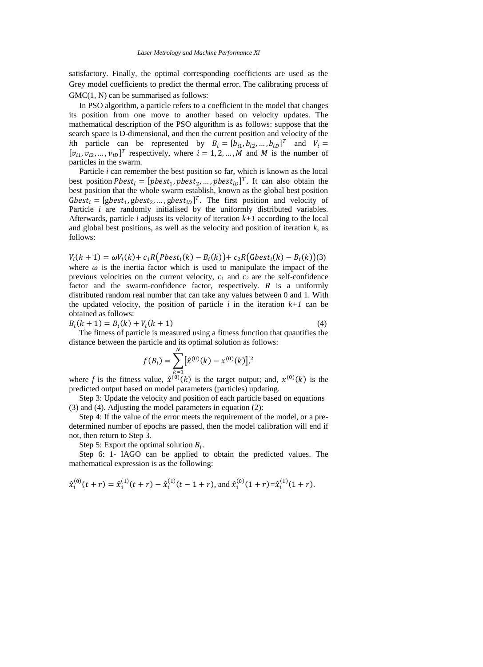satisfactory. Finally, the optimal corresponding coefficients are used as the Grey model coefficients to predict the thermal error. The calibrating process of GMC $(1, N)$  can be summarised as follows:

 In PSO algorithm, a particle refers to a coefficient in the model that changes its position from one move to another based on velocity updates. The mathematical description of the PSO algorithm is as follows: suppose that the search space is D-dimensional, and then the current position and velocity of the *i*th particle can be represented by  $B_i = [b_{i1}, b_{i2}, ..., b_{iD}]^T$  and  $V_i =$  $[v_{i1}, v_{i2}, ..., v_{iD}]^T$  respectively, where  $i = 1, 2, ..., M$  and M is the number of particles in the swarm.

 Particle *i* can remember the best position so far, which is known as the local best position  $Pbest_i = [pbest_1, pbest_2, ..., pbest_{i}]\$ <sup>T</sup>. It can also obtain the best position that the whole swarm establish, known as the global best position Gbest<sub>i</sub> = [gbest<sub>1</sub>, gbest<sub>2</sub>, ..., gbest<sub>iD</sub>]<sup>T</sup>. The first position and velocity of Particle *i* are randomly initialised by the uniformly distributed variables. Afterwards, particle *i* adjusts its velocity of iteration *k+1* according to the local and global best positions, as well as the velocity and position of iteration *k*, as follows:

 $V_i(k + 1) = \omega V_i(k) + c_1 R(Pbest_i(k) - B_i(k)) + c_2 R(Gbest_i(k) - B_i(k))(3)$ where  $\omega$  is the inertia factor which is used to manipulate the impact of the previous velocities on the current velocity,  $c_1$  and  $c_2$  are the self-confidence factor and the swarm-confidence factor, respectively. *R* is a uniformly distributed random real number that can take any values between 0 and 1. With the updated velocity, the position of particle  $i$  in the iteration  $k+1$  can be obtained as follows:

 $B_i(k + 1) = B_i(k) + V_i(k + 1)$  (4)

 The fitness of particle is measured using a fitness function that quantifies the distance between the particle and its optimal solution as follows:

$$
f(B_i) = \sum_{k=1}^{N} [\hat{x}^{(0)}(k) - x^{(0)}(k)]^{2}
$$

where *f* is the fitness value,  $\hat{x}^{(0)}(k)$  is the target output; and,  $x^{(0)}(k)$  is the predicted output based on model parameters (particles) updating.

 Step 3: Update the velocity and position of each particle based on equations (3) and (4). Adjusting the model parameters in equation (2):

 Step 4: If the value of the error meets the requirement of the model, or a predetermined number of epochs are passed, then the model calibration will end if not, then return to Step 3.

Step 5: Export the optimal solution  $B_i$ .

 Step 6: 1- IAGO can be applied to obtain the predicted values. The mathematical expression is as the following:

$$
\hat{x}_1^{(0)}(t+r) = \hat{x}_1^{(1)}(t+r) - \hat{x}_1^{(1)}(t-1+r)
$$
, and 
$$
\hat{x}_1^{(0)}(1+r) = \hat{x}_1^{(1)}(1+r)
$$
.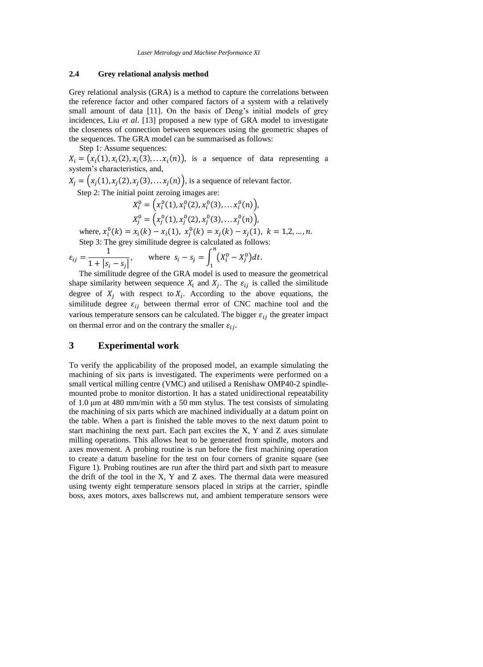## **2.4 Grey relational analysis method**

Grey relational analysis (GRA) is a method to capture the correlations between the reference factor and other compared factors of a system with a relatively small amount of data [11]. On the basis of Deng's initial models of grey incidences, Liu *et al*. [13] proposed a new type of GRA model to investigate the closeness of connection between sequences using the geometric shapes of the sequences. The GRA model can be summarised as follows:

Step 1: Assume sequences:

 $X_i = (x_i(1), x_i(2), x_i(3), \dots, x_i(n))$ , is a sequence of data representing a system's characteristics, and,

 $X_j = (x_j(1), x_j(2), x_j(3), \ldots, x_j(n))$ , is a sequence of relevant factor.

Step 2: The initial point zeroing images are:

$$
X_i^0 = \left(x_i^0(1), x_i^0(2), x_i^0(3), \ldots x_i^0(n)\right),
$$
  

$$
X_i^0 = \left(x_i^0(1), x_i^0(2), x_i^0(3), \ldots, x_i^0(n)\right),
$$

 $X_j^0 = (x_j^0(1), x_j^0(2), x_j^0(3), \ldots x_j^0(n)),$ where,  $x_i^0(k) = x_i(k) - x_i(1)$ ,  $x_j^0(k) = x_j(k) - x_j(1)$ ,  $k = 1,2,...,n$ .

Step 3: The grey similitude degree is calculated as follows:  
\n
$$
\varepsilon_{ij} = \frac{1}{1 + |s_i - s_j|}, \quad \text{where } s_i - s_j = \int_1^n (X_i^0 - X_j^0) dt.
$$

The similitude degree of the GRA model is used to measure the geometrical shape similarity between sequence 
$$
X_i
$$
 and  $X_j$ . The  $\varepsilon_{ij}$  is called the similitude degree of  $X_j$  with respect to  $X_i$ . According to the above equations, the similitude degree  $\varepsilon_{ij}$  between thermal error of CNC machine tool and the various temperature sensors can be calculated. The bigger  $\varepsilon_{ij}$  the greater impact on thermal error and on the contrary the smaller  $\varepsilon_{ij}$ .

# **3 Experimental work**

To verify the applicability of the proposed model, an example simulating the machining of six parts is investigated. The experiments were performed on a small vertical milling centre (VMC) and utilised a Renishaw OMP40-2 spindlemounted probe to monitor distortion. It has a stated unidirectional repeatability of 1.0 μm at 480 mm/min with a 50 mm stylus. The test consists of simulating the machining of six parts which are machined individually at a datum point on the table. When a part is finished the table moves to the next datum point to start machining the next part. Each part excites the X, Y and Z axes simulate milling operations. This allows heat to be generated from spindle, motors and axes movement. A probing routine is run before the first machining operation to create a datum baseline for the test on four corners of granite square (see [Figure 1\)](#page-6-0). Probing routines are run after the third part and sixth part to measure the drift of the tool in the X, Y and Z axes. The thermal data were measured using twenty eight temperature sensors placed in strips at the carrier, spindle boss, axes motors, axes ballscrews nut, and ambient temperature sensors were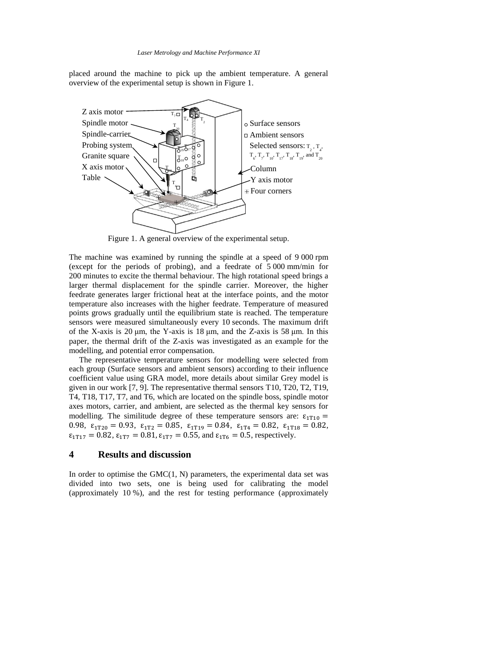placed around the machine to pick up the ambient temperature. A general overview of the experimental setup is shown i[n Figure 1.](#page-6-0)



Figure 1. A general overview of the experimental setup.

<span id="page-6-0"></span>The machine was examined by running the spindle at a speed of 9 000 rpm (except for the periods of probing), and a feedrate of 5 000 mm/min for 200 minutes to excite the thermal behaviour. The high rotational speed brings a larger thermal displacement for the spindle carrier. Moreover, the higher feedrate generates larger frictional heat at the interface points, and the motor temperature also increases with the higher feedrate. Temperature of measured points grows gradually until the equilibrium state is reached. The temperature sensors were measured simultaneously every 10 seconds. The maximum drift of the X-axis is 20  $\mu$ m, the Y-axis is 18  $\mu$ m, and the Z-axis is 58  $\mu$ m. In this paper, the thermal drift of the Z-axis was investigated as an example for the modelling, and potential error compensation.

 The representative temperature sensors for modelling were selected from each group (Surface sensors and ambient sensors) according to their influence coefficient value using GRA model, more details about similar Grey model is given in our work [7, 9]. The representative thermal sensors T10, T20, T2, T19, T4, T18, T17, T7, and T6, which are located on the spindle boss, spindle motor axes motors, carrier, and ambient, are selected as the thermal key sensors for modelling. The similitude degree of these temperature sensors are:  $\epsilon_{1T10}$  = 0.98,  $\epsilon_{1T20} = 0.93$ ,  $\epsilon_{1T2} = 0.85$ ,  $\epsilon_{1T19} = 0.84$ ,  $\epsilon_{1T4} = 0.82$ ,  $\epsilon_{1T18} = 0.82$ ,  $\epsilon_{1T17} = 0.82$ ,  $\epsilon_{1T7} = 0.81$ ,  $\epsilon_{1T7} = 0.55$ , and  $\epsilon_{1T6} = 0.5$ , respectively.

## **4 Results and discussion**

In order to optimise the  $GMC(1, N)$  parameters, the experimental data set was divided into two sets, one is being used for calibrating the model (approximately 10 %), and the rest for testing performance (approximately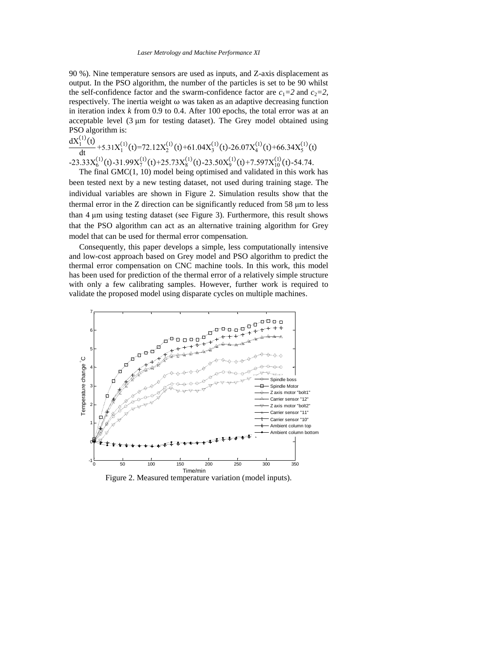90 %). Nine temperature sensors are used as inputs, and Z-axis displacement as output. In the PSO algorithm, the number of the particles is set to be 90 whilst the self-confidence factor and the swarm-confidence factor are  $c_1=2$  and  $c_2=2$ , respectively. The inertia weight  $\omega$  was taken as an adaptive decreasing function in iteration index *k* from 0.9 to 0.4. After 100 epochs, the total error was at an acceptable level (3 μm for testing dataset). The Grey model obtained using PSO algorithm is:

$$
\frac{dX_1^{(1)}(t)}{dt} + 5.31X_1^{(1)}(t) = 72.12X_2^{(1)}(t) + 61.04X_3^{(1)}(t) - 26.07X_4^{(1)}(t) + 66.34X_5^{(1)}(t)
$$
  
-23.33X<sub>6</sub><sup>(1)</sup>(t) -31.99X<sub>7</sub><sup>(1)</sup>(t) +25.73X<sub>8</sub><sup>(1)</sup>(t) -23.50X<sub>9</sub><sup>(1)</sup>(t) +7.597X<sub>1</sub><sup>(1)</sup>(t) -54.74.  
The first CMC(1, 10) model is in estimated and will data in this must

 The final GMC(1, 10) model being optimised and validated in this work has been tested next by a new testing dataset, not used during training stage. The individual variables are shown in [Figure 2.](#page-7-0) Simulation results show that the thermal error in the Z direction can be significantly reduced from 58 μm to less than 4 μm using testing dataset (see [Figure 3\)](#page-8-0). Furthermore, this result shows that the PSO algorithm can act as an alternative training algorithm for Grey model that can be used for thermal error compensation.

 Consequently, this paper develops a simple, less computationally intensive and low-cost approach based on Grey model and PSO algorithm to predict the thermal error compensation on CNC machine tools. In this work, this model has been used for prediction of the thermal error of a relatively simple structure with only a few calibrating samples. However, further work is required to validate the proposed model using disparate cycles on multiple machines.



<span id="page-7-0"></span>Figure 2. Measured temperature variation (model inputs).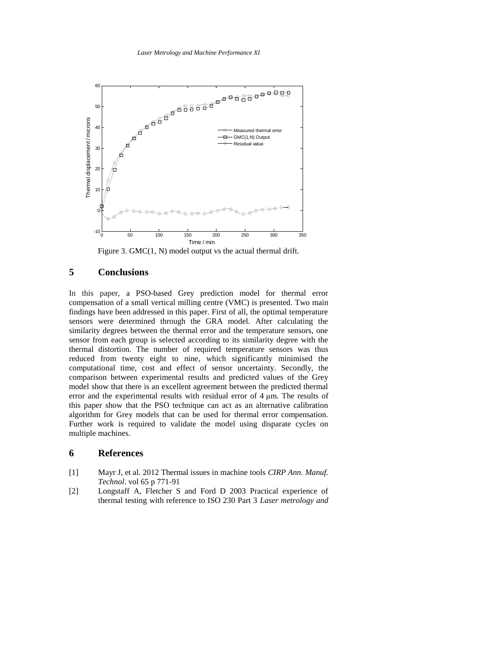

Figure 3. GMC(1, N) model output vs the actual thermal drift.

# <span id="page-8-0"></span>**5 Conclusions**

In this paper, a PSO-based Grey prediction model for thermal error compensation of a small vertical milling centre (VMC) is presented. Two main findings have been addressed in this paper. First of all, the optimal temperature sensors were determined through the GRA model. After calculating the similarity degrees between the thermal error and the temperature sensors, one sensor from each group is selected according to its similarity degree with the thermal distortion. The number of required temperature sensors was thus reduced from twenty eight to nine, which significantly minimised the computational time, cost and effect of sensor uncertainty. Secondly, the comparison between experimental results and predicted values of the Grey model show that there is an excellent agreement between the predicted thermal error and the experimental results with residual error of 4 μm. The results of this paper show that the PSO technique can act as an alternative calibration algorithm for Grey models that can be used for thermal error compensation. Further work is required to validate the model using disparate cycles on multiple machines.

## **6 References**

- [1] Mayr J, et al. 2012 Thermal issues in machine tools *CIRP Ann. Manuf. Technol*. vol 65 p 771-91
- [2] Longstaff A, Fletcher S and Ford D 2003 Practical experience of thermal testing with reference to ISO 230 Part 3 *Laser metrology and*